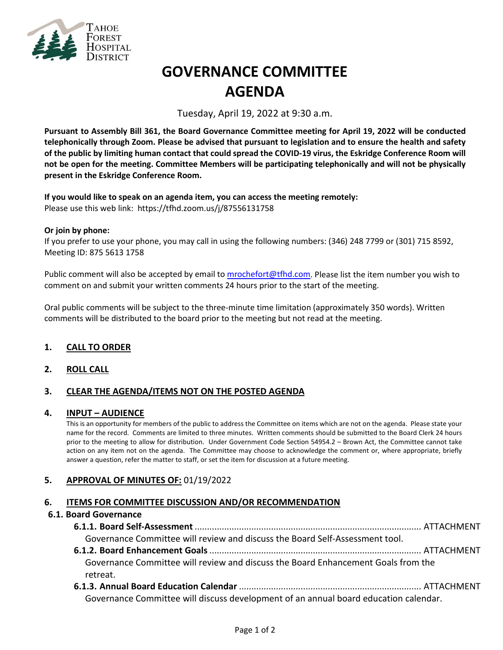

# **GOVERNANCE COMMITTEE AGENDA**

Tuesday, April 19, 2022 at 9:30 a.m.

**Pursuant to Assembly Bill 361, the Board Governance Committee meeting for April 19, 2022 will be conducted telephonically through Zoom. Please be advised that pursuant to legislation and to ensure the health and safety of the public by limiting human contact that could spread the COVID-19 virus, the Eskridge Conference Room will not be open for the meeting. Committee Members will be participating telephonically and will not be physically present in the Eskridge Conference Room.**

**If you would like to speak on an agenda item, you can access the meeting remotely:** Please use this web link: <https://tfhd.zoom.us/j/87556131758>

#### **Or join by phone:**

If you prefer to use your phone, you may call in using the following numbers: (346) 248 7799 or (301) 715 8592, Meeting ID: 875 5613 1758

Public comment will also be accepted by email to [mrochefort@tfhd.com.](mailto:mrochefort@tfhd.com) Please list the item number you wish to comment on and submit your written comments 24 hours prior to the start of the meeting.

Oral public comments will be subject to the three-minute time limitation (approximately 350 words). Written comments will be distributed to the board prior to the meeting but not read at the meeting.

## **1. CALL TO ORDER**

## **2. ROLL CALL**

## **3. CLEAR THE AGENDA/ITEMS NOT ON THE POSTED AGENDA**

#### **4. INPUT – AUDIENCE**

This is an opportunity for members of the public to address the Committee on items which are not on the agenda. Please state your name for the record. Comments are limited to three minutes. Written comments should be submitted to the Board Clerk 24 hours prior to the meeting to allow for distribution. Under Government Code Section 54954.2 – Brown Act, the Committee cannot take action on any item not on the agenda. The Committee may choose to acknowledge the comment or, where appropriate, briefly answer a question, refer the matter to staff, or set the item for discussion at a future meeting.

## **5. APPROVAL OF MINUTES OF:** 01/19/2022

## **6. ITEMS FOR COMMITTEE DISCUSSION AND/OR RECOMMENDATION**

#### **6.1. Board Governance**

| Governance Committee will review and discuss the Board Self-Assessment tool.                  |  |
|-----------------------------------------------------------------------------------------------|--|
|                                                                                               |  |
| Governance Committee will review and discuss the Board Enhancement Goals from the<br>retreat. |  |
|                                                                                               |  |

Governance Committee will discuss development of an annual board education calendar.